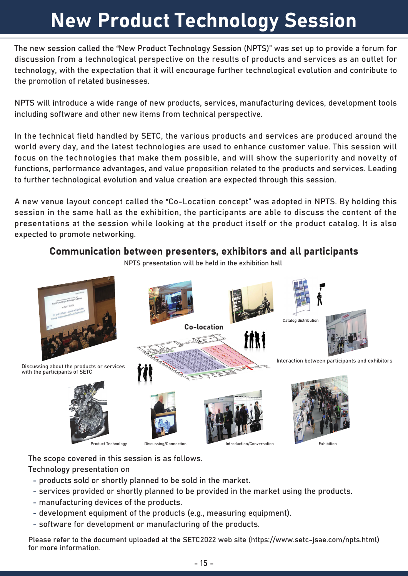# New Product Technology Session

The new session called the "New Product Technology Session (NPTS)" was set up to provide a forum for discussion from a technological perspective on the results of products and services as an outlet for technology, with the expectation that it will encourage further technological evolution and contribute to the promotion of related businesses.

NPTS will introduce a wide range of new products, services, manufacturing devices, development tools including software and other new items from technical perspective.

In the technical field handled by SETC, the various products and services are produced around the world every day, and the latest technologies are used to enhance customer value. This session will focus on the technologies that make them possible, and will show the superiority and novelty of functions, performance advantages, and value proposition related to the products and services. Leading to further technological evolution and value creation are expected through this session.

A new venue layout concept called the "Co-Location concept" was adopted in NPTS. By holding this session in the same hall as the exhibition, the participants are able to discuss the content of the presentations at the session while looking at the product itself or the product catalog. It is also expected to promote networking.

### Communication between presenters, exhibitors and all participants

NPTS presentation will be held in the exhibition hall



The scope covered in this session is as follows.

Technology presentation on

- products sold or shortly planned to be sold in the market.
- services provided or shortly planned to be provided in the market using the products.
- manufacturing devices of the products.
- development equipment of the products (e.g., measuring equipment).
- software for development or manufacturing of the products.

Please refer to the document uploaded at the SETC2022 web site (https://www.setc-jsae.com/npts.html) for more information.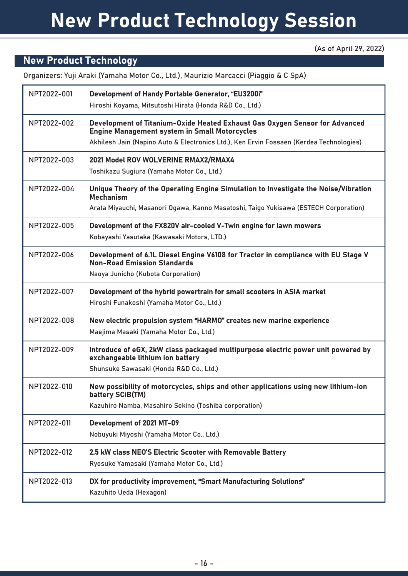## New Product Technology Session

#### (As of April 29, 2022)

### New Product Technology

Organizers: Yuji Araki (Yamaha Motor Co., Ltd.), Maurizio Marcacci (Piaggio & C SpA)

| NPT2022-001 | Development of Handy Portable Generator, "EU3200i"<br>Hiroshi Koyama, Mitsutoshi Hirata (Honda R&D Co., Ltd.)                                                                                                                  |
|-------------|--------------------------------------------------------------------------------------------------------------------------------------------------------------------------------------------------------------------------------|
| NPT2022-002 | Development of Titanium-Oxide Heated Exhaust Gas Oxygen Sensor for Advanced<br><b>Engine Management system in Small Motorcycles</b><br>Akhilesh Jain (Napino Auto & Electronics Ltd.), Ken Ervin Fossaen (Kerdea Technologies) |
| NPT2022-003 | 2021 Model ROV WOLVERINE RMAX2/RMAX4<br>Toshikazu Sugiura (Yamaha Motor Co., Ltd.)                                                                                                                                             |
| NPT2022-004 | Unique Theory of the Operating Engine Simulation to Investigate the Noise/Vibration<br><b>Mechanism</b><br>Arata Miyauchi, Masanori Ogawa, Kanno Masatoshi, Taigo Yukisawa (ESTECH Corporation)                                |
| NPT2022-005 | Development of the FX820V air-cooled V-Twin engine for lawn mowers<br>Kobayashi Yasutaka (Kawasaki Motors, LTD.)                                                                                                               |
| NPT2022-006 | Development of 6.1L Diesel Engine V6108 for Tractor in compliance with EU Stage V<br><b>Non-Road Emission Standards</b><br>Naoya Junicho (Kubota Corporation)                                                                  |
| NPT2022-007 | Development of the hybrid powertrain for small scooters in ASIA market<br>Hiroshi Funakoshi (Yamaha Motor Co., Ltd.)                                                                                                           |
| NPT2022-008 | New electric propulsion system "HARMO" creates new marine experience<br>Maejima Masaki (Yamaha Motor Co., Ltd.)                                                                                                                |
| NPT2022-009 | Introduce of eGX, 2kW class packaged multipurpose electric power unit powered by<br>exchangeable lithium ion battery<br>Shunsuke Sawasaki (Honda R&D Co., Ltd.)                                                                |
| NPT2022-010 | New possibility of motorcycles, ships and other applications using new lithium-ion<br>battery SCIB(TM)<br>Kazuhiro Namba, Masahiro Sekino (Toshiba corporation)                                                                |
| NPT2022-011 | Development of 2021 MT-09<br>Nobuyuki Miyoshi (Yamaha Motor Co., Ltd.)                                                                                                                                                         |
| NPT2022-012 | 2.5 kW class NEO'S Electric Scooter with Removable Battery<br>Ryosuke Yamasaki (Yamaha Motor Co., Ltd.)                                                                                                                        |
| NPT2022-013 | DX for productivity improvement, "Smart Manufacturing Solutions"<br>Kazuhito Ueda (Hexagon)                                                                                                                                    |